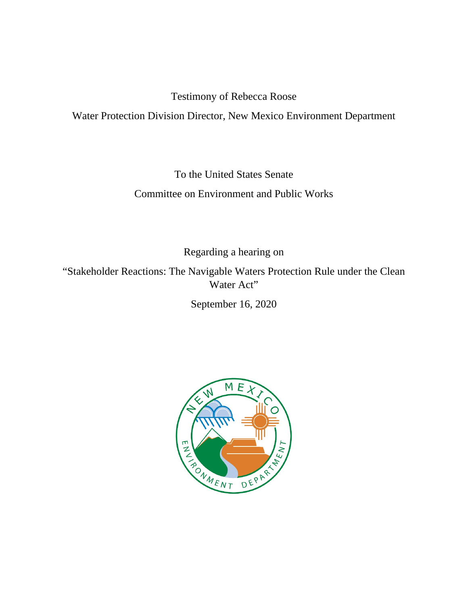Testimony of Rebecca Roose

Water Protection Division Director, New Mexico Environment Department

To the United States Senate Committee on Environment and Public Works

Regarding a hearing on

"Stakeholder Reactions: The Navigable Waters Protection Rule under the Clean Water Act"

September 16, 2020

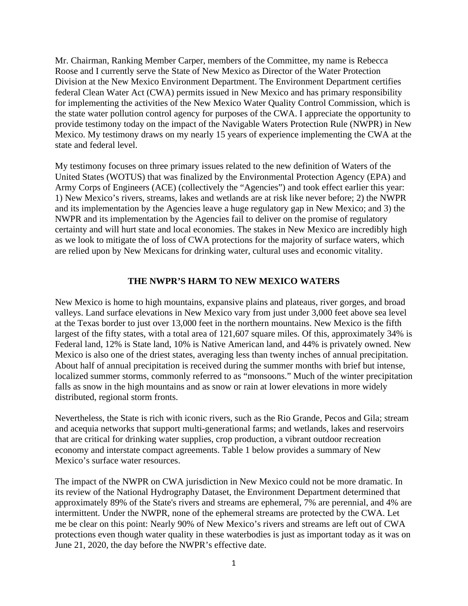Mr. Chairman, Ranking Member Carper, members of the Committee, my name is Rebecca Roose and I currently serve the State of New Mexico as Director of the Water Protection Division at the New Mexico Environment Department. The Environment Department certifies federal Clean Water Act (CWA) permits issued in New Mexico and has primary responsibility for implementing the activities of the New Mexico Water Quality Control Commission, which is the state water pollution control agency for purposes of the CWA. I appreciate the opportunity to provide testimony today on the impact of the Navigable Waters Protection Rule (NWPR) in New Mexico. My testimony draws on my nearly 15 years of experience implementing the CWA at the state and federal level.

My testimony focuses on three primary issues related to the new definition of Waters of the United States (WOTUS) that was finalized by the Environmental Protection Agency (EPA) and Army Corps of Engineers (ACE) (collectively the "Agencies") and took effect earlier this year: 1) New Mexico's rivers, streams, lakes and wetlands are at risk like never before; 2) the NWPR and its implementation by the Agencies leave a huge regulatory gap in New Mexico; and 3) the NWPR and its implementation by the Agencies fail to deliver on the promise of regulatory certainty and will hurt state and local economies. The stakes in New Mexico are incredibly high as we look to mitigate the of loss of CWA protections for the majority of surface waters, which are relied upon by New Mexicans for drinking water, cultural uses and economic vitality.

## **THE NWPR'S HARM TO NEW MEXICO WATERS**

New Mexico is home to high mountains, expansive plains and plateaus, river gorges, and broad valleys. Land surface elevations in New Mexico vary from just under 3,000 feet above sea level at the Texas border to just over 13,000 feet in the northern mountains. New Mexico is the fifth largest of the fifty states, with a total area of 121,607 square miles. Of this, approximately 34% is Federal land, 12% is State land, 10% is Native American land, and 44% is privately owned. New Mexico is also one of the driest states, averaging less than twenty inches of annual precipitation. About half of annual precipitation is received during the summer months with brief but intense, localized summer storms, commonly referred to as "monsoons." Much of the winter precipitation falls as snow in the high mountains and as snow or rain at lower elevations in more widely distributed, regional storm fronts.

Nevertheless, the State is rich with iconic rivers, such as the Rio Grande, Pecos and Gila; stream and acequia networks that support multi-generational farms; and wetlands, lakes and reservoirs that are critical for drinking water supplies, crop production, a vibrant outdoor recreation economy and interstate compact agreements. Table 1 below provides a summary of New Mexico's surface water resources.

The impact of the NWPR on CWA jurisdiction in New Mexico could not be more dramatic. In its review of the National Hydrography Dataset, the Environment Department determined that approximately 89% of the State's rivers and streams are ephemeral, 7% are perennial, and 4% are intermittent. Under the NWPR, none of the ephemeral streams are protected by the CWA. Let me be clear on this point: Nearly 90% of New Mexico's rivers and streams are left out of CWA protections even though water quality in these waterbodies is just as important today as it was on June 21, 2020, the day before the NWPR's effective date.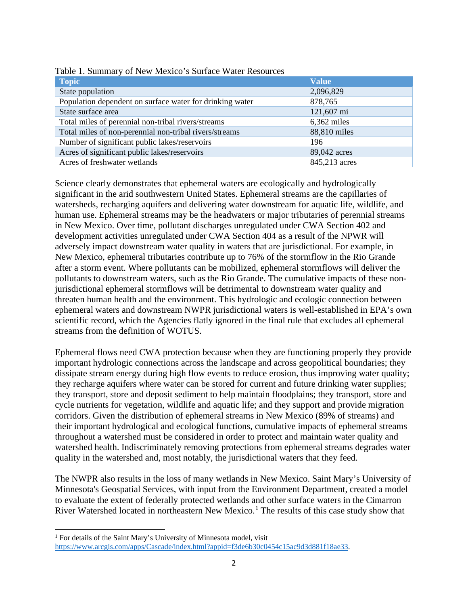| <b>Topic</b>                                             | <b>Value</b>  |
|----------------------------------------------------------|---------------|
| State population                                         | 2,096,829     |
| Population dependent on surface water for drinking water | 878,765       |
| State surface area                                       | 121,607 mi    |
| Total miles of perennial non-tribal rivers/streams       | $6,362$ miles |
| Total miles of non-perennial non-tribal rivers/streams   | 88,810 miles  |
| Number of significant public lakes/reservoirs            | 196           |
| Acres of significant public lakes/reservoirs             | 89,042 acres  |
| Acres of freshwater wetlands                             | 845,213 acres |

|  | Table 1. Summary of New Mexico's Surface Water Resources |
|--|----------------------------------------------------------|
|--|----------------------------------------------------------|

Science clearly demonstrates that ephemeral waters are ecologically and hydrologically significant in the arid southwestern United States. Ephemeral streams are the capillaries of watersheds, recharging aquifers and delivering water downstream for aquatic life, wildlife, and human use. Ephemeral streams may be the headwaters or major tributaries of perennial streams in New Mexico. Over time, pollutant discharges unregulated under CWA Section 402 and development activities unregulated under CWA Section 404 as a result of the NPWR will adversely impact downstream water quality in waters that are jurisdictional. For example, in New Mexico, ephemeral tributaries contribute up to 76% of the stormflow in the Rio Grande after a storm event. Where pollutants can be mobilized, ephemeral stormflows will deliver the pollutants to downstream waters, such as the Rio Grande. The cumulative impacts of these nonjurisdictional ephemeral stormflows will be detrimental to downstream water quality and threaten human health and the environment. This hydrologic and ecologic connection between ephemeral waters and downstream NWPR jurisdictional waters is well-established in EPA's own scientific record, which the Agencies flatly ignored in the final rule that excludes all ephemeral streams from the definition of WOTUS.

Ephemeral flows need CWA protection because when they are functioning properly they provide important hydrologic connections across the landscape and across geopolitical boundaries; they dissipate stream energy during high flow events to reduce erosion, thus improving water quality; they recharge aquifers where water can be stored for current and future drinking water supplies; they transport, store and deposit sediment to help maintain floodplains; they transport, store and cycle nutrients for vegetation, wildlife and aquatic life; and they support and provide migration corridors. Given the distribution of ephemeral streams in New Mexico (89% of streams) and their important hydrological and ecological functions, cumulative impacts of ephemeral streams throughout a watershed must be considered in order to protect and maintain water quality and watershed health. Indiscriminately removing protections from ephemeral streams degrades water quality in the watershed and, most notably, the jurisdictional waters that they feed.

The NWPR also results in the loss of many wetlands in New Mexico. Saint Mary's University of Minnesota's Geospatial Services, with input from the Environment Department, created a model to evaluate the extent of federally protected wetlands and other surface waters in the Cimarron River Watershed located in northeastern New Mexico.<sup>[1](#page-2-0)</sup> The results of this case study show that

<span id="page-2-0"></span><sup>&</sup>lt;sup>1</sup> For details of the Saint Mary's University of Minnesota model, visit [https://www.arcgis.com/apps/Cascade/index.html?appid=f3de6b30c0454c15ac9d3d881f18ae33.](https://www.arcgis.com/apps/Cascade/index.html?appid=f3de6b30c0454c15ac9d3d881f18ae33)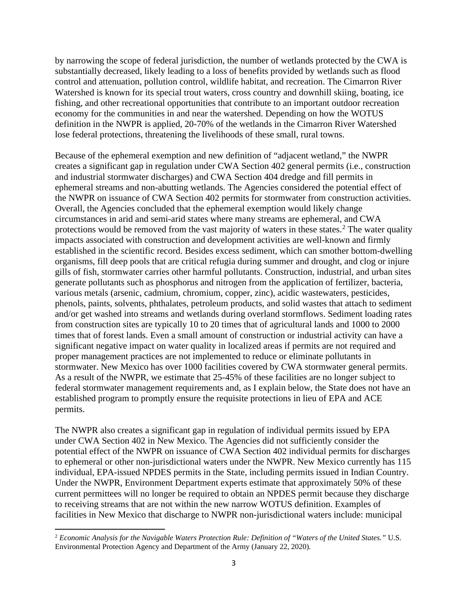by narrowing the scope of federal jurisdiction, the number of wetlands protected by the CWA is substantially decreased, likely leading to a loss of benefits provided by wetlands such as flood control and attenuation, pollution control, wildlife habitat, and recreation. The Cimarron River Watershed is known for its special trout waters, cross country and downhill skiing, boating, ice fishing, and other recreational opportunities that contribute to an important outdoor recreation economy for the communities in and near the watershed. Depending on how the WOTUS definition in the NWPR is applied, 20-70% of the wetlands in the Cimarron River Watershed lose federal protections, threatening the livelihoods of these small, rural towns.

Because of the ephemeral exemption and new definition of "adjacent wetland," the NWPR creates a significant gap in regulation under CWA Section 402 general permits (i.e., construction and industrial stormwater discharges) and CWA Section 404 dredge and fill permits in ephemeral streams and non-abutting wetlands. The Agencies considered the potential effect of the NWPR on issuance of CWA Section 402 permits for stormwater from construction activities. Overall, the Agencies concluded that the ephemeral exemption would likely change circumstances in arid and semi-arid states where many streams are ephemeral, and CWA protections would be removed from the vast majority of waters in these states.<sup>[2](#page-3-0)</sup> The water quality impacts associated with construction and development activities are well-known and firmly established in the scientific record. Besides excess sediment, which can smother bottom-dwelling organisms, fill deep pools that are critical refugia during summer and drought, and clog or injure gills of fish, stormwater carries other harmful pollutants. Construction, industrial, and urban sites generate pollutants such as phosphorus and nitrogen from the application of fertilizer, bacteria, various metals (arsenic, cadmium, chromium, copper, zinc), acidic wastewaters, pesticides, phenols, paints, solvents, phthalates, petroleum products, and solid wastes that attach to sediment and/or get washed into streams and wetlands during overland stormflows. Sediment loading rates from construction sites are typically 10 to 20 times that of agricultural lands and 1000 to 2000 times that of forest lands. Even a small amount of construction or industrial activity can have a significant negative impact on water quality in localized areas if permits are not required and proper management practices are not implemented to reduce or eliminate pollutants in stormwater. New Mexico has over 1000 facilities covered by CWA stormwater general permits. As a result of the NWPR, we estimate that 25-45% of these facilities are no longer subject to federal stormwater management requirements and, as I explain below, the State does not have an established program to promptly ensure the requisite protections in lieu of EPA and ACE permits.

The NWPR also creates a significant gap in regulation of individual permits issued by EPA under CWA Section 402 in New Mexico. The Agencies did not sufficiently consider the potential effect of the NWPR on issuance of CWA Section 402 individual permits for discharges to ephemeral or other non-jurisdictional waters under the NWPR. New Mexico currently has 115 individual, EPA-issued NPDES permits in the State, including permits issued in Indian Country. Under the NWPR, Environment Department experts estimate that approximately 50% of these current permittees will no longer be required to obtain an NPDES permit because they discharge to receiving streams that are not within the new narrow WOTUS definition. Examples of facilities in New Mexico that discharge to NWPR non-jurisdictional waters include: municipal

<span id="page-3-0"></span><sup>2</sup> *Economic Analysis for the Navigable Waters Protection Rule: Definition of "Waters of the United States."* U.S. Environmental Protection Agency and Department of the Army (January 22, 2020).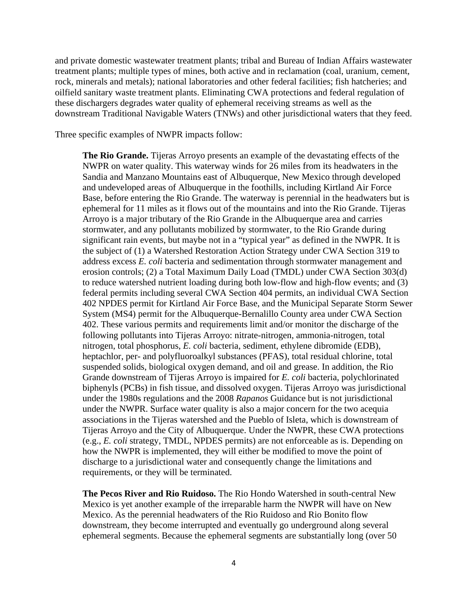and private domestic wastewater treatment plants; tribal and Bureau of Indian Affairs wastewater treatment plants; multiple types of mines, both active and in reclamation (coal, uranium, cement, rock, minerals and metals); national laboratories and other federal facilities; fish hatcheries; and oilfield sanitary waste treatment plants. Eliminating CWA protections and federal regulation of these dischargers degrades water quality of ephemeral receiving streams as well as the downstream Traditional Navigable Waters (TNWs) and other jurisdictional waters that they feed.

Three specific examples of NWPR impacts follow:

**The Rio Grande.** Tijeras Arroyo presents an example of the devastating effects of the NWPR on water quality. This waterway winds for 26 miles from its headwaters in the Sandia and Manzano Mountains east of Albuquerque, New Mexico through developed and undeveloped areas of Albuquerque in the foothills, including Kirtland Air Force Base, before entering the Rio Grande. The waterway is perennial in the headwaters but is ephemeral for 11 miles as it flows out of the mountains and into the Rio Grande. Tijeras Arroyo is a major tributary of the Rio Grande in the Albuquerque area and carries stormwater, and any pollutants mobilized by stormwater, to the Rio Grande during significant rain events, but maybe not in a "typical year" as defined in the NWPR. It is the subject of (1) a Watershed Restoration Action Strategy under CWA Section 319 to address excess *E. coli* bacteria and sedimentation through stormwater management and erosion controls; (2) a Total Maximum Daily Load (TMDL) under CWA Section 303(d) to reduce watershed nutrient loading during both low-flow and high-flow events; and (3) federal permits including several CWA Section 404 permits, an individual CWA Section 402 NPDES permit for Kirtland Air Force Base, and the Municipal Separate Storm Sewer System (MS4) permit for the Albuquerque-Bernalillo County area under CWA Section 402. These various permits and requirements limit and/or monitor the discharge of the following pollutants into Tijeras Arroyo: nitrate-nitrogen, ammonia-nitrogen, total nitrogen, total phosphorus, *E. coli* bacteria, sediment, ethylene dibromide (EDB), heptachlor, per- and polyfluoroalkyl substances (PFAS), total residual chlorine, total suspended solids, biological oxygen demand, and oil and grease. In addition, the Rio Grande downstream of Tijeras Arroyo is impaired for *E. coli* bacteria, polychlorinated biphenyls (PCBs) in fish tissue, and dissolved oxygen. Tijeras Arroyo was jurisdictional under the 1980s regulations and the 2008 *Rapanos* Guidance but is not jurisdictional under the NWPR. Surface water quality is also a major concern for the two acequia associations in the Tijeras watershed and the Pueblo of Isleta, which is downstream of Tijeras Arroyo and the City of Albuquerque. Under the NWPR, these CWA protections (e.g., *E. coli* strategy, TMDL, NPDES permits) are not enforceable as is. Depending on how the NWPR is implemented, they will either be modified to move the point of discharge to a jurisdictional water and consequently change the limitations and requirements, or they will be terminated.

**The Pecos River and Rio Ruidoso.** The Rio Hondo Watershed in south-central New Mexico is yet another example of the irreparable harm the NWPR will have on New Mexico. As the perennial headwaters of the Rio Ruidoso and Rio Bonito flow downstream, they become interrupted and eventually go underground along several ephemeral segments. Because the ephemeral segments are substantially long (over 50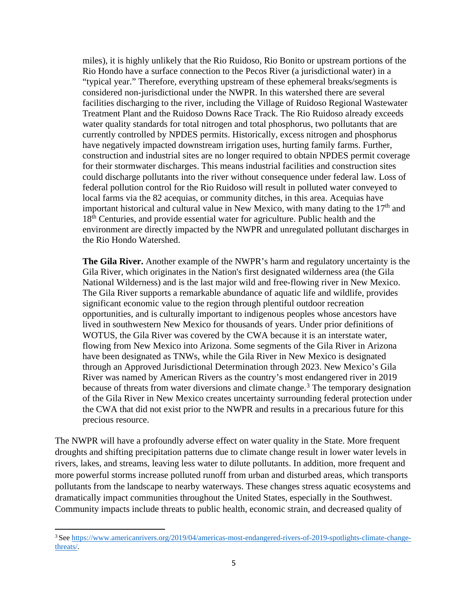miles), it is highly unlikely that the Rio Ruidoso, Rio Bonito or upstream portions of the Rio Hondo have a surface connection to the Pecos River (a jurisdictional water) in a "typical year." Therefore, everything upstream of these ephemeral breaks/segments is considered non-jurisdictional under the NWPR. In this watershed there are several facilities discharging to the river, including the Village of Ruidoso Regional Wastewater Treatment Plant and the Ruidoso Downs Race Track. The Rio Ruidoso already exceeds water quality standards for total nitrogen and total phosphorus, two pollutants that are currently controlled by NPDES permits. Historically, excess nitrogen and phosphorus have negatively impacted downstream irrigation uses, hurting family farms. Further, construction and industrial sites are no longer required to obtain NPDES permit coverage for their stormwater discharges. This means industrial facilities and construction sites could discharge pollutants into the river without consequence under federal law. Loss of federal pollution control for the Rio Ruidoso will result in polluted water conveyed to local farms via the 82 acequias, or community ditches, in this area. Acequias have important historical and cultural value in New Mexico, with many dating to the  $17<sup>th</sup>$  and 18<sup>th</sup> Centuries, and provide essential water for agriculture. Public health and the environment are directly impacted by the NWPR and unregulated pollutant discharges in the Rio Hondo Watershed.

**The Gila River.** Another example of the NWPR's harm and regulatory uncertainty is the Gila River, which originates in the Nation's first designated wilderness area (the Gila National Wilderness) and is the last major wild and free-flowing river in New Mexico. The Gila River supports a remarkable abundance of aquatic life and wildlife, provides significant economic value to the region through plentiful outdoor recreation opportunities, and is culturally important to indigenous peoples whose ancestors have lived in southwestern New Mexico for thousands of years. Under prior definitions of WOTUS, the Gila River was covered by the CWA because it is an interstate water, flowing from New Mexico into Arizona. Some segments of the Gila River in Arizona have been designated as TNWs, while the Gila River in New Mexico is designated through an Approved Jurisdictional Determination through 2023. New Mexico's Gila River was named by American Rivers as the country's most endangered river in 2019 because of threats from water diversions and climate change.<sup>[3](#page-5-0)</sup> The temporary designation of the Gila River in New Mexico creates uncertainty surrounding federal protection under the CWA that did not exist prior to the NWPR and results in a precarious future for this precious resource.

The NWPR will have a profoundly adverse effect on water quality in the State. More frequent droughts and shifting precipitation patterns due to climate change result in lower water levels in rivers, lakes, and streams, leaving less water to dilute pollutants. In addition, more frequent and more powerful storms increase polluted runoff from urban and disturbed areas, which transports pollutants from the landscape to nearby waterways. These changes stress aquatic ecosystems and dramatically impact communities throughout the United States, especially in the Southwest. Community impacts include threats to public health, economic strain, and decreased quality of

<span id="page-5-0"></span><sup>&</sup>lt;sup>3</sup> See [https://www.americanrivers.org/2019/04/americas-most-endangered-rivers-of-2019-spotlights-climate-change](https://www.americanrivers.org/2019/04/americas-most-endangered-rivers-of-2019-spotlights-climate-change-threats/)[threats/.](https://www.americanrivers.org/2019/04/americas-most-endangered-rivers-of-2019-spotlights-climate-change-threats/)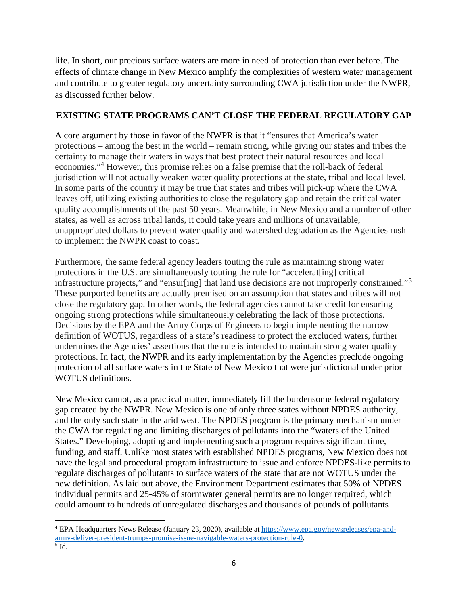life. In short, our precious surface waters are more in need of protection than ever before. The effects of climate change in New Mexico amplify the complexities of western water management and contribute to greater regulatory uncertainty surrounding CWA jurisdiction under the NWPR, as discussed further below.

## **EXISTING STATE PROGRAMS CAN'T CLOSE THE FEDERAL REGULATORY GAP**

A core argument by those in favor of the NWPR is that it "ensures that America's water protections – among the best in the world – remain strong, while giving our states and tribes the certainty to manage their waters in ways that best protect their natural resources and local economies."[4](#page-6-0) However, this promise relies on a false premise that the roll-back of federal jurisdiction will not actually weaken water quality protections at the state, tribal and local level. In some parts of the country it may be true that states and tribes will pick-up where the CWA leaves off, utilizing existing authorities to close the regulatory gap and retain the critical water quality accomplishments of the past 50 years. Meanwhile, in New Mexico and a number of other states, as well as across tribal lands, it could take years and millions of unavailable, unappropriated dollars to prevent water quality and watershed degradation as the Agencies rush to implement the NWPR coast to coast.

Furthermore, the same federal agency leaders touting the rule as maintaining strong water protections in the U.S. are simultaneously touting the rule for "accelerat[ing] critical infrastructure projects," and "ensur[ing] that land use decisions are not improperly constrained."<sup>[5](#page-6-1)</sup> These purported benefits are actually premised on an assumption that states and tribes will not close the regulatory gap. In other words, the federal agencies cannot take credit for ensuring ongoing strong protections while simultaneously celebrating the lack of those protections. Decisions by the EPA and the Army Corps of Engineers to begin implementing the narrow definition of WOTUS, regardless of a state's readiness to protect the excluded waters, further undermines the Agencies' assertions that the rule is intended to maintain strong water quality protections. In fact, the NWPR and its early implementation by the Agencies preclude ongoing protection of all surface waters in the State of New Mexico that were jurisdictional under prior WOTUS definitions.

New Mexico cannot, as a practical matter, immediately fill the burdensome federal regulatory gap created by the NWPR. New Mexico is one of only three states without NPDES authority, and the only such state in the arid west. The NPDES program is the primary mechanism under the CWA for regulating and limiting discharges of pollutants into the "waters of the United States." Developing, adopting and implementing such a program requires significant time, funding, and staff. Unlike most states with established NPDES programs, New Mexico does not have the legal and procedural program infrastructure to issue and enforce NPDES-like permits to regulate discharges of pollutants to surface waters of the state that are not WOTUS under the new definition. As laid out above, the Environment Department estimates that 50% of NPDES individual permits and 25-45% of stormwater general permits are no longer required, which could amount to hundreds of unregulated discharges and thousands of pounds of pollutants

<span id="page-6-0"></span><sup>4</sup> EPA Headquarters News Release (January 23, 2020), available at [https://www.epa.gov/newsreleases/epa-and](https://www.epa.gov/newsreleases/epa-and-army-deliver-president-trumps-promise-issue-navigable-waters-protection-rule-0)army-deliver-president-trumps-promise-issue-navigable-waters-protection-rule-0.<br>
<sup>5</sup> Id.

<span id="page-6-1"></span>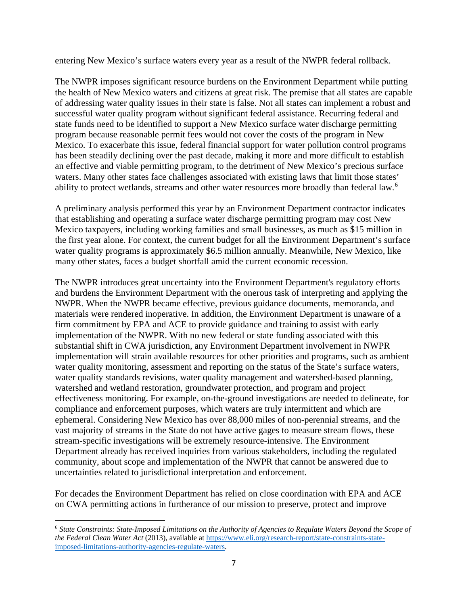entering New Mexico's surface waters every year as a result of the NWPR federal rollback.

The NWPR imposes significant resource burdens on the Environment Department while putting the health of New Mexico waters and citizens at great risk. The premise that all states are capable of addressing water quality issues in their state is false. Not all states can implement a robust and successful water quality program without significant federal assistance. Recurring federal and state funds need to be identified to support a New Mexico surface water discharge permitting program because reasonable permit fees would not cover the costs of the program in New Mexico. To exacerbate this issue, federal financial support for water pollution control programs has been steadily declining over the past decade, making it more and more difficult to establish an effective and viable permitting program, to the detriment of New Mexico's precious surface waters. Many other states face challenges associated with existing laws that limit those states' ability to protect wetlands, streams and other water resources more broadly than federal law.<sup>[6](#page-7-0)</sup>

A preliminary analysis performed this year by an Environment Department contractor indicates that establishing and operating a surface water discharge permitting program may cost New Mexico taxpayers, including working families and small businesses, as much as \$15 million in the first year alone. For context, the current budget for all the Environment Department's surface water quality programs is approximately \$6.5 million annually. Meanwhile, New Mexico, like many other states, faces a budget shortfall amid the current economic recession.

The NWPR introduces great uncertainty into the Environment Department's regulatory efforts and burdens the Environment Department with the onerous task of interpreting and applying the NWPR. When the NWPR became effective, previous guidance documents, memoranda, and materials were rendered inoperative. In addition, the Environment Department is unaware of a firm commitment by EPA and ACE to provide guidance and training to assist with early implementation of the NWPR. With no new federal or state funding associated with this substantial shift in CWA jurisdiction, any Environment Department involvement in NWPR implementation will strain available resources for other priorities and programs, such as ambient water quality monitoring, assessment and reporting on the status of the State's surface waters, water quality standards revisions, water quality management and watershed-based planning, watershed and wetland restoration, groundwater protection, and program and project effectiveness monitoring. For example, on-the-ground investigations are needed to delineate, for compliance and enforcement purposes, which waters are truly intermittent and which are ephemeral. Considering New Mexico has over 88,000 miles of non-perennial streams, and the vast majority of streams in the State do not have active gages to measure stream flows, these stream-specific investigations will be extremely resource-intensive. The Environment Department already has received inquiries from various stakeholders, including the regulated community, about scope and implementation of the NWPR that cannot be answered due to uncertainties related to jurisdictional interpretation and enforcement.

For decades the Environment Department has relied on close coordination with EPA and ACE on CWA permitting actions in furtherance of our mission to preserve, protect and improve

<span id="page-7-0"></span><sup>6</sup> *State Constraints: State-Imposed Limitations on the Authority of Agencies to Regulate Waters Beyond the Scope of the Federal Clean Water Act* (2013), available at [https://www.eli.org/research-report/state-constraints-state](https://www.eli.org/research-report/state-constraints-state-imposed-limitations-authority-agencies-regulate-waters)[imposed-limitations-authority-agencies-regulate-waters.](https://www.eli.org/research-report/state-constraints-state-imposed-limitations-authority-agencies-regulate-waters)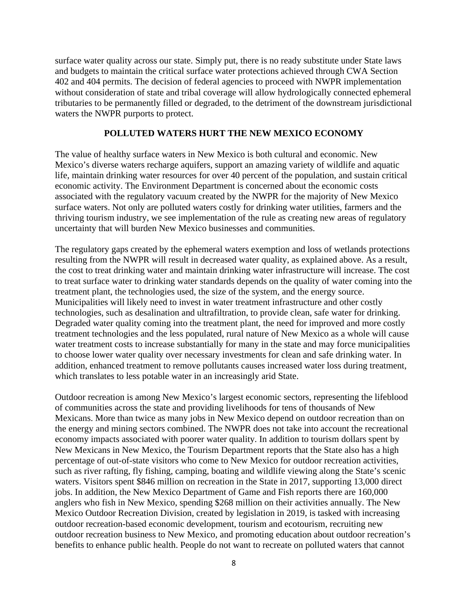surface water quality across our state. Simply put, there is no ready substitute under State laws and budgets to maintain the critical surface water protections achieved through CWA Section 402 and 404 permits. The decision of federal agencies to proceed with NWPR implementation without consideration of state and tribal coverage will allow hydrologically connected ephemeral tributaries to be permanently filled or degraded, to the detriment of the downstream jurisdictional waters the NWPR purports to protect.

## **POLLUTED WATERS HURT THE NEW MEXICO ECONOMY**

The value of healthy surface waters in New Mexico is both cultural and economic. New Mexico's diverse waters recharge aquifers, support an amazing variety of wildlife and aquatic life, maintain drinking water resources for over 40 percent of the population, and sustain critical economic activity. The Environment Department is concerned about the economic costs associated with the regulatory vacuum created by the NWPR for the majority of New Mexico surface waters. Not only are polluted waters costly for drinking water utilities, farmers and the thriving tourism industry, we see implementation of the rule as creating new areas of regulatory uncertainty that will burden New Mexico businesses and communities.

The regulatory gaps created by the ephemeral waters exemption and loss of wetlands protections resulting from the NWPR will result in decreased water quality, as explained above. As a result, the cost to treat drinking water and maintain drinking water infrastructure will increase. The cost to treat surface water to drinking water standards depends on the quality of water coming into the treatment plant, the technologies used, the size of the system, and the energy source. Municipalities will likely need to invest in water treatment infrastructure and other costly technologies, such as desalination and ultrafiltration, to provide clean, safe water for drinking. Degraded water quality coming into the treatment plant, the need for improved and more costly treatment technologies and the less populated, rural nature of New Mexico as a whole will cause water treatment costs to increase substantially for many in the state and may force municipalities to choose lower water quality over necessary investments for clean and safe drinking water. In addition, enhanced treatment to remove pollutants causes increased water loss during treatment, which translates to less potable water in an increasingly arid State.

Outdoor recreation is among New Mexico's largest economic sectors, representing the lifeblood of communities across the state and providing livelihoods for tens of thousands of New Mexicans. More than twice as many jobs in New Mexico depend on outdoor recreation than on the energy and mining sectors combined. The NWPR does not take into account the recreational economy impacts associated with poorer water quality. In addition to tourism dollars spent by New Mexicans in New Mexico, the Tourism Department reports that the State also has a high percentage of out-of-state visitors who come to New Mexico for outdoor recreation activities, such as river rafting, fly fishing, camping, boating and wildlife viewing along the State's scenic waters. Visitors spent \$846 million on recreation in the State in 2017, supporting 13,000 direct jobs. In addition, the New Mexico Department of Game and Fish reports there are 160,000 anglers who fish in New Mexico, spending \$268 million on their activities annually. The New Mexico Outdoor Recreation Division, created by legislation in 2019, is tasked with increasing outdoor recreation-based economic development, tourism and ecotourism, recruiting new outdoor recreation business to New Mexico, and promoting education about outdoor recreation's benefits to enhance public health. People do not want to recreate on polluted waters that cannot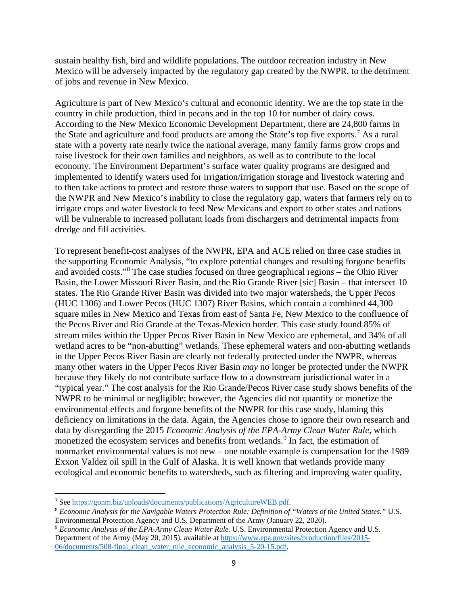sustain healthy fish, bird and wildlife populations. The outdoor recreation industry in New Mexico will be adversely impacted by the regulatory gap created by the NWPR, to the detriment of jobs and revenue in New Mexico.

Agriculture is part of New Mexico's cultural and economic identity. We are the top state in the country in chile production, third in pecans and in the top 10 for number of dairy cows. According to the New Mexico Economic Development Department, there are 24,800 farms in the State and agriculture and food products are among the State's top five exports.<sup>[7](#page-9-0)</sup> As a rural state with a poverty rate nearly twice the national average, many family farms grow crops and raise livestock for their own families and neighbors, as well as to contribute to the local economy. The Environment Department's surface water quality programs are designed and implemented to identify waters used for irrigation/irrigation storage and livestock watering and to then take actions to protect and restore those waters to support that use. Based on the scope of the NWPR and New Mexico's inability to close the regulatory gap, waters that farmers rely on to irrigate crops and water livestock to feed New Mexicans and export to other states and nations will be vulnerable to increased pollutant loads from dischargers and detrimental impacts from dredge and fill activities.

To represent benefit-cost analyses of the NWPR, EPA and ACE relied on three case studies in the supporting Economic Analysis, "to explore potential changes and resulting forgone benefits and avoided costs."[8](#page-9-1) The case studies focused on three geographical regions – the Ohio River Basin, the Lower Missouri River Basin, and the Rio Grande River [sic] Basin – that intersect 10 states. The Rio Grande River Basin was divided into two major watersheds, the Upper Pecos (HUC 1306) and Lower Pecos (HUC 1307) River Basins, which contain a combined 44,300 square miles in New Mexico and Texas from east of Santa Fe, New Mexico to the confluence of the Pecos River and Rio Grande at the Texas-Mexico border. This case study found 85% of stream miles within the Upper Pecos River Basin in New Mexico are ephemeral, and 34% of all wetland acres to be "non-abutting" wetlands. These ephemeral waters and non-abutting wetlands in the Upper Pecos River Basin are clearly not federally protected under the NWPR, whereas many other waters in the Upper Pecos River Basin *may* no longer be protected under the NWPR because they likely do not contribute surface flow to a downstream jurisdictional water in a "typical year." The cost analysis for the Rio Grande/Pecos River case study shows benefits of the NWPR to be minimal or negligible; however, the Agencies did not quantify or monetize the environmental effects and forgone benefits of the NWPR for this case study, blaming this deficiency on limitations in the data. Again, the Agencies chose to ignore their own research and data by disregarding the 2015 *Economic Analysis of the EPA-Army Clean Water Rule,* which monetized the ecosystem services and benefits from wetlands.<sup>[9](#page-9-2)</sup> In fact, the estimation of nonmarket environmental values is not new – one notable example is compensation for the 1989 Exxon Valdez oil spill in the Gulf of Alaska. It is well known that wetlands provide many ecological and economic benefits to watersheds, such as filtering and improving water quality,

<span id="page-9-0"></span><sup>7</sup> Se[e https://gonm.biz/uploads/documents/publications/AgricultureWEB.pdf.](https://gonm.biz/uploads/documents/publications/AgricultureWEB.pdf)

<span id="page-9-1"></span><sup>8</sup> *Economic Analysis for the Navigable Waters Protection Rule: Definition of "Waters of the United States."* U.S. Environmental Protection Agency and U.S. Department of the Army (January 22, 2020).

<span id="page-9-2"></span><sup>9</sup> *Economic Analysis of the EPA-Army Clean Water Rule.* U.S. Environmental Protection Agency and U.S. Department of the Army (May 20, 2015), available at [https://www.epa.gov/sites/production/files/2015-](https://www.epa.gov/sites/production/files/2015-06/documents/508-final_clean_water_rule_economic_analysis_5-20-15.pdf) [06/documents/508-final\\_clean\\_water\\_rule\\_economic\\_analysis\\_5-20-15.pdf.](https://www.epa.gov/sites/production/files/2015-06/documents/508-final_clean_water_rule_economic_analysis_5-20-15.pdf)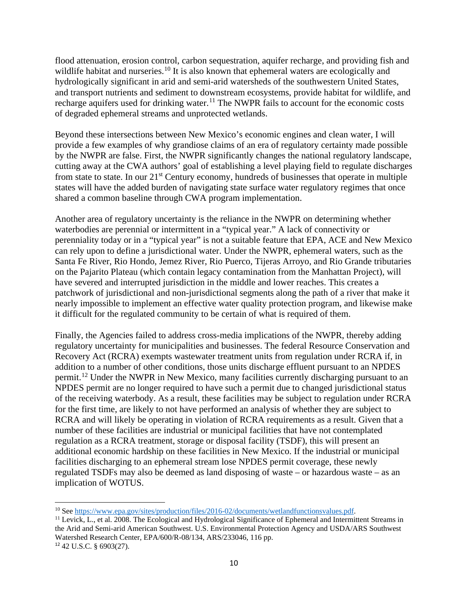flood attenuation, erosion control, carbon sequestration, aquifer recharge, and providing fish and wildlife habitat and nurseries.<sup>[10](#page-10-0)</sup> It is also known that ephemeral waters are ecologically and hydrologically significant in arid and semi-arid watersheds of the southwestern United States, and transport nutrients and sediment to downstream ecosystems, provide habitat for wildlife, and recharge aquifers used for drinking water.<sup>[11](#page-10-1)</sup> The NWPR fails to account for the economic costs of degraded ephemeral streams and unprotected wetlands.

Beyond these intersections between New Mexico's economic engines and clean water, I will provide a few examples of why grandiose claims of an era of regulatory certainty made possible by the NWPR are false. First, the NWPR significantly changes the national regulatory landscape, cutting away at the CWA authors' goal of establishing a level playing field to regulate discharges from state to state. In our 21<sup>st</sup> Century economy, hundreds of businesses that operate in multiple states will have the added burden of navigating state surface water regulatory regimes that once shared a common baseline through CWA program implementation.

Another area of regulatory uncertainty is the reliance in the NWPR on determining whether waterbodies are perennial or intermittent in a "typical year." A lack of connectivity or perenniality today or in a "typical year" is not a suitable feature that EPA, ACE and New Mexico can rely upon to define a jurisdictional water. Under the NWPR, ephemeral waters, such as the Santa Fe River, Rio Hondo, Jemez River, Rio Puerco, Tijeras Arroyo, and Rio Grande tributaries on the Pajarito Plateau (which contain legacy contamination from the Manhattan Project), will have severed and interrupted jurisdiction in the middle and lower reaches. This creates a patchwork of jurisdictional and non-jurisdictional segments along the path of a river that make it nearly impossible to implement an effective water quality protection program, and likewise make it difficult for the regulated community to be certain of what is required of them.

Finally, the Agencies failed to address cross-media implications of the NWPR, thereby adding regulatory uncertainty for municipalities and businesses. The federal Resource Conservation and Recovery Act (RCRA) exempts wastewater treatment units from regulation under RCRA if, in addition to a number of other conditions, those units discharge effluent pursuant to an NPDES permit.[12](#page-10-2) Under the NWPR in New Mexico, many facilities currently discharging pursuant to an NPDES permit are no longer required to have such a permit due to changed jurisdictional status of the receiving waterbody. As a result, these facilities may be subject to regulation under RCRA for the first time, are likely to not have performed an analysis of whether they are subject to RCRA and will likely be operating in violation of RCRA requirements as a result. Given that a number of these facilities are industrial or municipal facilities that have not contemplated regulation as a RCRA treatment, storage or disposal facility (TSDF), this will present an additional economic hardship on these facilities in New Mexico. If the industrial or municipal facilities discharging to an ephemeral stream lose NPDES permit coverage, these newly regulated TSDFs may also be deemed as land disposing of waste – or hazardous waste – as an implication of WOTUS.

<span id="page-10-0"></span><sup>10</sup> See [https://www.epa.gov/sites/production/files/2016-02/documents/wetlandfunctionsvalues.pdf.](https://www.epa.gov/sites/production/files/2016-02/documents/wetlandfunctionsvalues.pdf)

<span id="page-10-2"></span><span id="page-10-1"></span><sup>&</sup>lt;sup>11</sup> Levick, L., et al. 2008. The Ecological and Hydrological Significance of Ephemeral and Intermittent Streams in the Arid and Semi-arid American Southwest. U.S. Environmental Protection Agency and USDA/ARS Southwest Watershed Research Center, EPA/600/R-08/134, ARS/233046, 116 pp. <sup>12</sup> 42 U.S.C. § 6903(27).